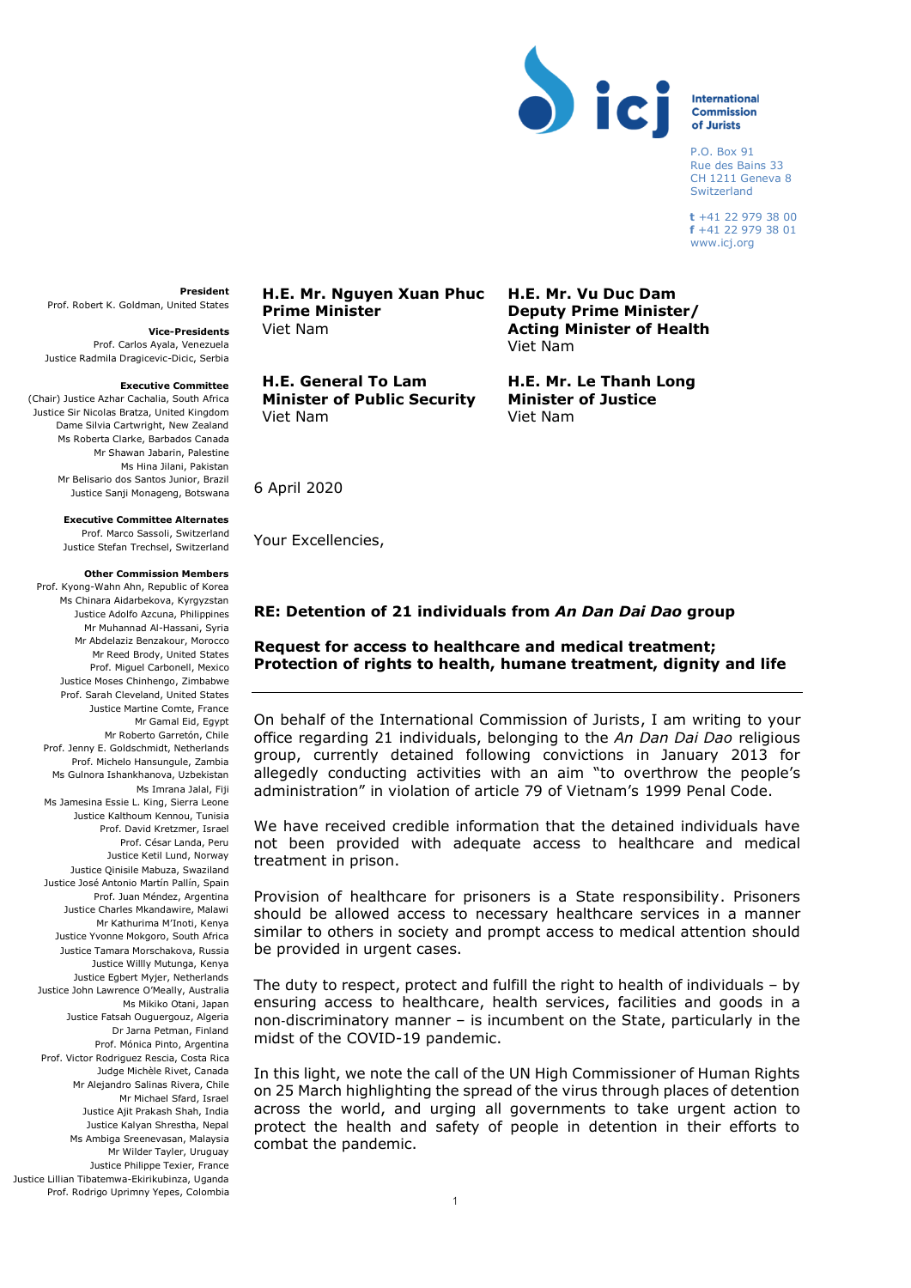

## **International Commission** of Jurists

 P.O. Box 91 Rue des Bains 33 CH 1211 Geneva 8 Switzerland

 **t** +41 22 979 38 00  **f** +41 22 979 38 01 www.icj.org

**President** Prof. Robert K. Goldman, United States

**Vice-Presidents** Prof. Carlos Ayala, Venezuela Justice Radmila Dragicevic-Dicic, Serbia

### **Executive Committee**

(Chair) Justice Azhar Cachalia, South Africa Justice Sir Nicolas Bratza, United Kingdom Dame Silvia Cartwright, New Zealand Ms Roberta Clarke, Barbados Canada Mr Shawan Jabarin, Palestine Ms Hina Jilani, Pakistan Mr Belisario dos Santos Junior, Brazil Justice Sanji Monageng, Botswana

### **Executive Committee Alternates**

Prof. Marco Sassoli, Switzerland Justice Stefan Trechsel, Switzerland

#### **Other Commission Members**

Prof. Kyong-Wahn Ahn, Republic of Korea Ms Chinara Aidarbekova, Kyrgyzstan Justice Adolfo Azcuna, Philippines Mr Muhannad Al-Hassani, Syria Mr Abdelaziz Benzakour, Morocco Mr Reed Brody, United States Prof. Miguel Carbonell, Mexico Justice Moses Chinhengo, Zimbabwe Prof. Sarah Cleveland, United States Justice Martine Comte, France Mr Gamal Eid, Egypt Mr Roberto Garretón, Chile Prof. Jenny E. Goldschmidt, Netherlands Prof. Michelo Hansungule, Zambia Ms Gulnora Ishankhanova, Uzbekistan Ms Imrana Jalal, Fiji Ms Jamesina Essie L. King, Sierra Leone Justice Kalthoum Kennou, Tunisia Prof. David Kretzmer, Israel Prof. César Landa, Peru Justice Ketil Lund, Norway Justice Qinisile Mabuza, Swaziland Justice José Antonio Martín Pallín, Spain Prof. Juan Méndez, Argentina Justice Charles Mkandawire, Malawi Mr Kathurima M'Inoti, Kenya Justice Yvonne Mokgoro, South Africa Justice Tamara Morschakova, Russia Justice Willly Mutunga, Kenya Justice Egbert Myjer, Netherlands Justice John Lawrence O'Meally, Australia Ms Mikiko Otani, Japan Justice Fatsah Ouguergouz, Algeria Dr Jarna Petman, Finland Prof. Mónica Pinto, Argentina Prof. Victor Rodriguez Rescia, Costa Rica Judge Michèle Rivet, Canada Mr Alejandro Salinas Rivera, Chile Mr Michael Sfard, Israel Justice Ajit Prakash Shah, India Justice Kalyan Shrestha, Nepal Ms Ambiga Sreenevasan, Malaysia Mr Wilder Tayler, Uruguay Justice Philippe Texier, France Justice Lillian Tibatemwa-Ekirikubinza, Uganda Prof. Rodrigo Uprimny Yepes, Colombia **H.E. Mr. Nguyen Xuan Phuc Prime Minister**  Viet Nam

**H.E. General To Lam Minister of Public Security**  Viet Nam

**H.E. Mr. Vu Duc Dam Deputy Prime Minister/ Acting Minister of Health** Viet Nam

**H.E. Mr. Le Thanh Long Minister of Justice**  Viet Nam

6 April 2020

Your Excellencies,

# **RE: Detention of 21 individuals from** *An Dan Dai Dao* **group**

# **Request for access to healthcare and medical treatment; Protection of rights to health, humane treatment, dignity and life**

On behalf of the International Commission of Jurists, I am writing to your office regarding 21 individuals, belonging to the *An Dan Dai Dao* religious group, currently detained following convictions in January 2013 for allegedly conducting activities with an aim "to overthrow the people's administration" in violation of article 79 of Vietnam's 1999 Penal Code.

We have received credible information that the detained individuals have not been provided with adequate access to healthcare and medical treatment in prison.

Provision of healthcare for prisoners is a State responsibility. Prisoners should be allowed access to necessary healthcare services in a manner similar to others in society and prompt access to medical attention should be provided in urgent cases.

The duty to respect, protect and fulfill the right to health of individuals – by ensuring access to healthcare, health services, facilities and goods in a non-discriminatory manner – is incumbent on the State, particularly in the midst of the COVID-19 pandemic.

In this light, we note the call of the UN High Commissioner of Human Rights on 25 March highlighting the spread of the virus through places of detention across the world, and urging all governments to take urgent action to protect the health and safety of people in detention in their efforts to combat the pandemic.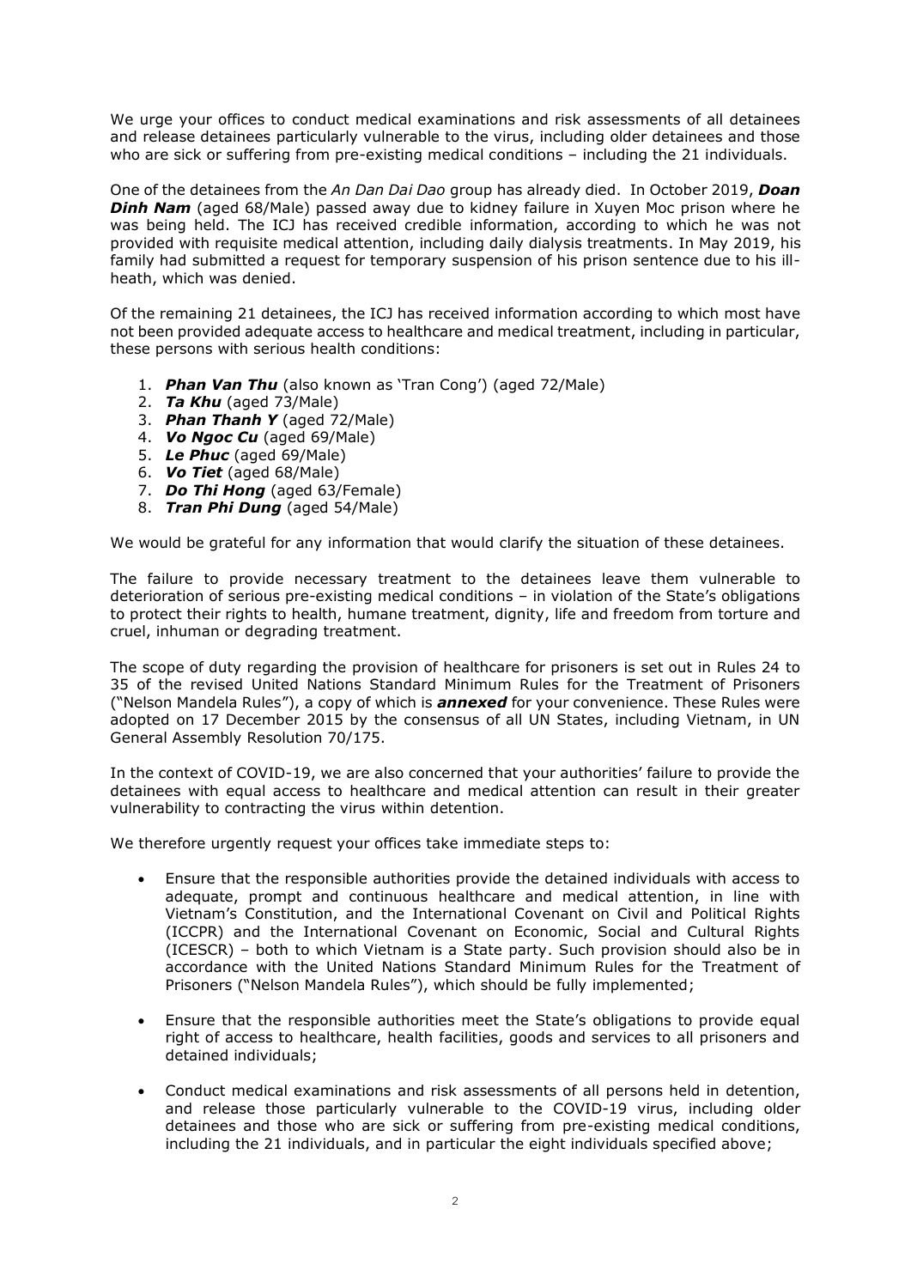We urge your offices to conduct medical examinations and risk assessments of all detainees and release detainees particularly vulnerable to the virus, including older detainees and those who are sick or suffering from pre-existing medical conditions – including the 21 individuals.

One of the detainees from the *An Dan Dai Dao* group has already died. In October 2019, *Doan*  **Dinh Nam** (aged 68/Male) passed away due to kidney failure in Xuyen Moc prison where he was being held. The ICJ has received credible information, according to which he was not provided with requisite medical attention, including daily dialysis treatments. In May 2019, his family had submitted a request for temporary suspension of his prison sentence due to his illheath, which was denied.

Of the remaining 21 detainees, the ICJ has received information according to which most have not been provided adequate access to healthcare and medical treatment, including in particular, these persons with serious health conditions:

- 1. *Phan Van Thu* (also known as 'Tran Cong') (aged 72/Male)
- 2. *Ta Khu* (aged 73/Male)
- 3. *Phan Thanh Y* (aged 72/Male)
- 4. *Vo Ngoc Cu* (aged 69/Male)
- 5. *Le Phuc* (aged 69/Male)
- 6. *Vo Tiet* (aged 68/Male)
- 7. *Do Thi Hong* (aged 63/Female)
- 8. *Tran Phi Dung* (aged 54/Male)

We would be grateful for any information that would clarify the situation of these detainees.

The failure to provide necessary treatment to the detainees leave them vulnerable to deterioration of serious pre-existing medical conditions – in violation of the State's obligations to protect their rights to health, humane treatment, dignity, life and freedom from torture and cruel, inhuman or degrading treatment.

The scope of duty regarding the provision of healthcare for prisoners is set out in Rules 24 to 35 of the revised United Nations Standard Minimum Rules for the Treatment of Prisoners ("Nelson Mandela Rules"), a copy of which is *annexed* for your convenience. These Rules were adopted on 17 December 2015 by the consensus of all UN States, including Vietnam, in UN General Assembly Resolution 70/175.

In the context of COVID-19, we are also concerned that your authorities' failure to provide the detainees with equal access to healthcare and medical attention can result in their greater vulnerability to contracting the virus within detention.

We therefore urgently request your offices take immediate steps to:

- Ensure that the responsible authorities provide the detained individuals with access to adequate, prompt and continuous healthcare and medical attention, in line with Vietnam's Constitution, and the International Covenant on Civil and Political Rights (ICCPR) and the International Covenant on Economic, Social and Cultural Rights (ICESCR) – both to which Vietnam is a State party. Such provision should also be in accordance with the United Nations Standard Minimum Rules for the Treatment of Prisoners ("Nelson Mandela Rules"), which should be fully implemented;
- Ensure that the responsible authorities meet the State's obligations to provide equal right of access to healthcare, health facilities, goods and services to all prisoners and detained individuals;
- Conduct medical examinations and risk assessments of all persons held in detention, and release those particularly vulnerable to the COVID-19 virus, including older detainees and those who are sick or suffering from pre-existing medical conditions, including the 21 individuals, and in particular the eight individuals specified above;